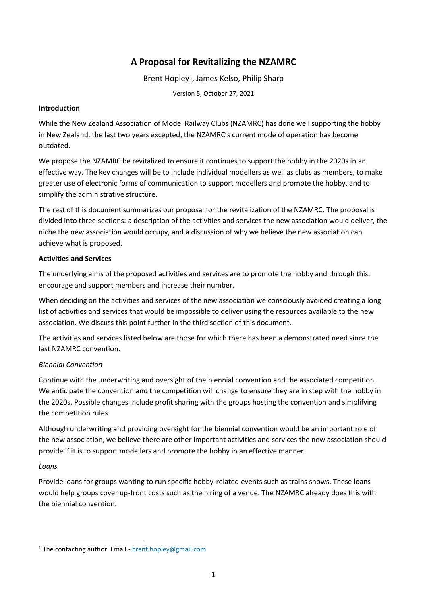# **A Proposal for Revitalizing the NZAMRC**

Brent Hopley<sup>1</sup>, James Kelso, Philip Sharp

Version 5, October 27, 2021

# **Introduction**

While the New Zealand Association of Model Railway Clubs (NZAMRC) has done well supporting the hobby in New Zealand, the last two years excepted, the NZAMRC's current mode of operation has become outdated.

We propose the NZAMRC be revitalized to ensure it continues to support the hobby in the 2020s in an effective way. The key changes will be to include individual modellers as well as clubs as members, to make greater use of electronic forms of communication to support modellers and promote the hobby, and to simplify the administrative structure.

The rest of this document summarizes our proposal for the revitalization of the NZAMRC. The proposal is divided into three sections: a description of the activities and services the new association would deliver, the niche the new association would occupy, and a discussion of why we believe the new association can achieve what is proposed.

# **Activities and Services**

The underlying aims of the proposed activities and services are to promote the hobby and through this, encourage and support members and increase their number.

When deciding on the activities and services of the new association we consciously avoided creating a long list of activities and services that would be impossible to deliver using the resources available to the new association. We discuss this point further in the third section of this document.

The activities and services listed below are those for which there has been a demonstrated need since the last NZAMRC convention.

# *Biennial Convention*

Continue with the underwriting and oversight of the biennial convention and the associated competition. We anticipate the convention and the competition will change to ensure they are in step with the hobby in the 2020s. Possible changes include profit sharing with the groups hosting the convention and simplifying the competition rules.

Although underwriting and providing oversight for the biennial convention would be an important role of the new association, we believe there are other important activities and services the new association should provide if it is to support modellers and promote the hobby in an effective manner.

# *Loans*

Provide loans for groups wanting to run specific hobby-related events such as trains shows. These loans would help groups cover up-front costs such as the hiring of a venue. The NZAMRC already does this with the biennial convention.

<sup>1</sup> The contacting author. Email - brent.hopley@gmail.com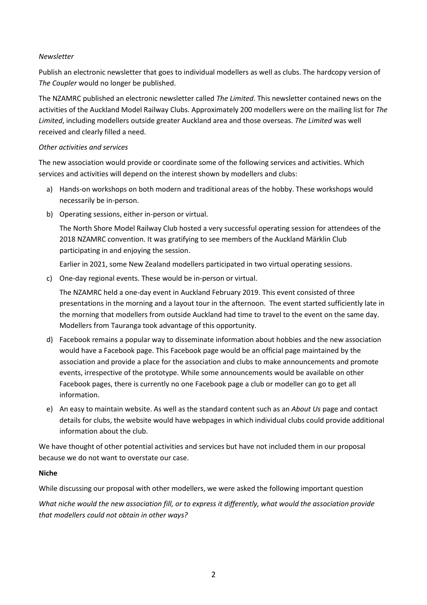## *Newsletter*

Publish an electronic newsletter that goes to individual modellers as well as clubs. The hardcopy version of *The Coupler* would no longer be published.

The NZAMRC published an electronic newsletter called *The Limited*. This newsletter contained news on the activities of the Auckland Model Railway Clubs. Approximately 200 modellers were on the mailing list for *The Limited*, including modellers outside greater Auckland area and those overseas. *The Limited* was well received and clearly filled a need.

## *Other activities and services*

The new association would provide or coordinate some of the following services and activities. Which services and activities will depend on the interest shown by modellers and clubs:

- a) Hands-on workshops on both modern and traditional areas of the hobby. These workshops would necessarily be in-person.
- b) Operating sessions, either in-person or virtual.

The North Shore Model Railway Club hosted a very successful operating session for attendees of the 2018 NZAMRC convention. It was gratifying to see members of the Auckland Märklin Club participating in and enjoying the session.

Earlier in 2021, some New Zealand modellers participated in two virtual operating sessions.

c) One-day regional events. These would be in-person or virtual.

The NZAMRC held a one-day event in Auckland February 2019. This event consisted of three presentations in the morning and a layout tour in the afternoon. The event started sufficiently late in the morning that modellers from outside Auckland had time to travel to the event on the same day. Modellers from Tauranga took advantage of this opportunity.

- d) Facebook remains a popular way to disseminate information about hobbies and the new association would have a Facebook page. This Facebook page would be an official page maintained by the association and provide a place for the association and clubs to make announcements and promote events, irrespective of the prototype. While some announcements would be available on other Facebook pages, there is currently no one Facebook page a club or modeller can go to get all information.
- e) An easy to maintain website. As well as the standard content such as an *About Us* page and contact details for clubs, the website would have webpages in which individual clubs could provide additional information about the club.

We have thought of other potential activities and services but have not included them in our proposal because we do not want to overstate our case.

#### **Niche**

While discussing our proposal with other modellers, we were asked the following important question

*What niche would the new association fill, or to express it differently, what would the association provide that modellers could not obtain in other ways?*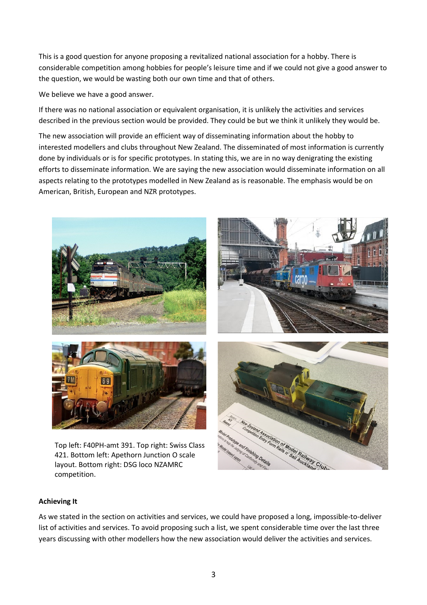This is a good question for anyone proposing a revitalized national association for a hobby. There is considerable competition among hobbies for people's leisure time and if we could not give a good answer to the question, we would be wasting both our own time and that of others.

We believe we have a good answer.

If there was no national association or equivalent organisation, it is unlikely the activities and services described in the previous section would be provided. They could be but we think it unlikely they would be.

The new association will provide an efficient way of disseminating information about the hobby to interested modellers and clubs throughout New Zealand. The disseminated of most information is currently done by individuals or is for specific prototypes. In stating this, we are in no way denigrating the existing efforts to disseminate information. We are saying the new association would disseminate information on all aspects relating to the prototypes modelled in New Zealand as is reasonable. The emphasis would be on American, British, European and NZR prototypes.



421. Bottom left: Apethorn Junction O scale layout. Bottom right: DSG loco NZAMRC competition.

#### **Achieving It**

As we stated in the section on activities and services, we could have proposed a long, impossible-to-deliver list of activities and services. To avoid proposing such a list, we spent considerable time over the last three years discussing with other modellers how the new association would deliver the activities and services.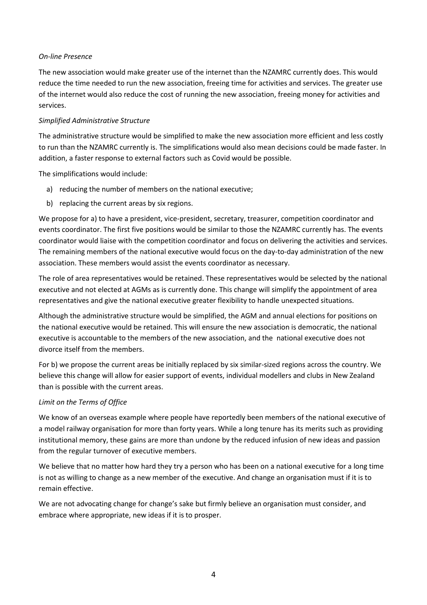## *On-line Presence*

The new association would make greater use of the internet than the NZAMRC currently does. This would reduce the time needed to run the new association, freeing time for activities and services. The greater use of the internet would also reduce the cost of running the new association, freeing money for activities and services.

## *Simplified Administrative Structure*

The administrative structure would be simplified to make the new association more efficient and less costly to run than the NZAMRC currently is. The simplifications would also mean decisions could be made faster. In addition, a faster response to external factors such as Covid would be possible.

The simplifications would include:

- a) reducing the number of members on the national executive;
- b) replacing the current areas by six regions.

We propose for a) to have a president, vice-president, secretary, treasurer, competition coordinator and events coordinator. The first five positions would be similar to those the NZAMRC currently has. The events coordinator would liaise with the competition coordinator and focus on delivering the activities and services. The remaining members of the national executive would focus on the day-to-day administration of the new association. These members would assist the events coordinator as necessary.

The role of area representatives would be retained. These representatives would be selected by the national executive and not elected at AGMs as is currently done. This change will simplify the appointment of area representatives and give the national executive greater flexibility to handle unexpected situations.

Although the administrative structure would be simplified, the AGM and annual elections for positions on the national executive would be retained. This will ensure the new association is democratic, the national executive is accountable to the members of the new association, and the national executive does not divorce itself from the members.

For b) we propose the current areas be initially replaced by six similar-sized regions across the country. We believe this change will allow for easier support of events, individual modellers and clubs in New Zealand than is possible with the current areas.

#### *Limit on the Terms of Office*

We know of an overseas example where people have reportedly been members of the national executive of a model railway organisation for more than forty years. While a long tenure has its merits such as providing institutional memory, these gains are more than undone by the reduced infusion of new ideas and passion from the regular turnover of executive members.

We believe that no matter how hard they try a person who has been on a national executive for a long time is not as willing to change as a new member of the executive. And change an organisation must if it is to remain effective.

We are not advocating change for change's sake but firmly believe an organisation must consider, and embrace where appropriate, new ideas if it is to prosper.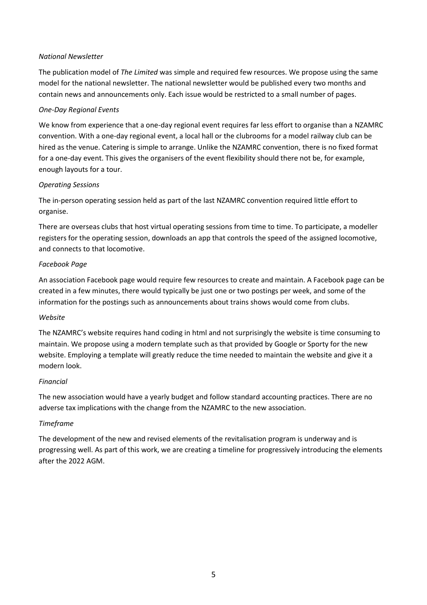## *National Newsletter*

The publication model of *The Limited* was simple and required few resources. We propose using the same model for the national newsletter. The national newsletter would be published every two months and contain news and announcements only. Each issue would be restricted to a small number of pages.

## *One-Day Regional Events*

We know from experience that a one-day regional event requires far less effort to organise than a NZAMRC convention. With a one-day regional event, a local hall or the clubrooms for a model railway club can be hired as the venue. Catering is simple to arrange. Unlike the NZAMRC convention, there is no fixed format for a one-day event. This gives the organisers of the event flexibility should there not be, for example, enough layouts for a tour.

## *Operating Sessions*

The in-person operating session held as part of the last NZAMRC convention required little effort to organise.

There are overseas clubs that host virtual operating sessions from time to time. To participate, a modeller registers for the operating session, downloads an app that controls the speed of the assigned locomotive, and connects to that locomotive.

## *Facebook Page*

An association Facebook page would require few resources to create and maintain. A Facebook page can be created in a few minutes, there would typically be just one or two postings per week, and some of the information for the postings such as announcements about trains shows would come from clubs.

#### *Website*

The NZAMRC's website requires hand coding in html and not surprisingly the website is time consuming to maintain. We propose using a modern template such as that provided by Google or Sporty for the new website. Employing a template will greatly reduce the time needed to maintain the website and give it a modern look.

#### *Financial*

The new association would have a yearly budget and follow standard accounting practices. There are no adverse tax implications with the change from the NZAMRC to the new association.

# *Timeframe*

The development of the new and revised elements of the revitalisation program is underway and is progressing well. As part of this work, we are creating a timeline for progressively introducing the elements after the 2022 AGM.